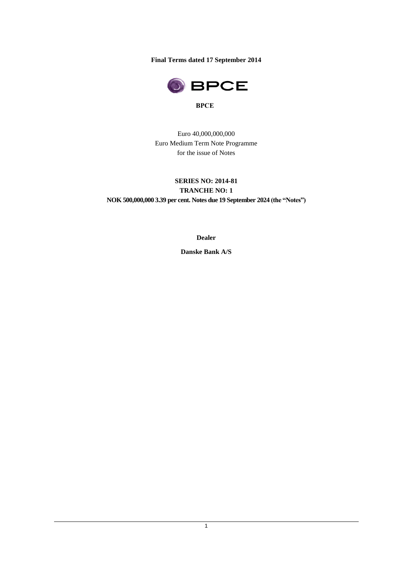**Final Terms dated 17 September 2014**



Euro 40,000,000,000 Euro Medium Term Note Programme for the issue of Notes

# **SERIES NO: 2014-81 TRANCHE NO: 1**

**NOK 500,000,000 3.39 per cent. Notes due 19 September 2024 (the "Notes")**

**Dealer**

**Danske Bank A/S**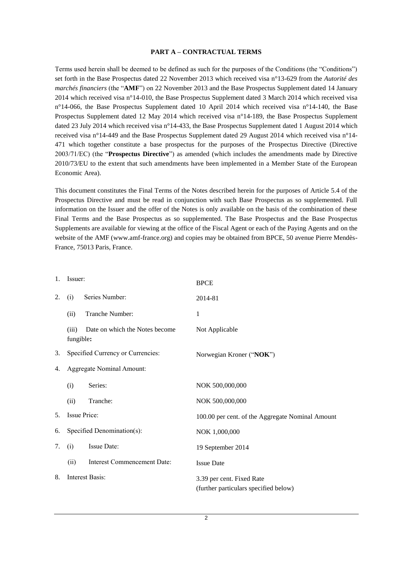#### **PART A – CONTRACTUAL TERMS**

Terms used herein shall be deemed to be defined as such for the purposes of the Conditions (the "Conditions") set forth in the Base Prospectus dated 22 November 2013 which received visa n°13-629 from the *Autorité des marchés financiers* (the "**AMF**") on 22 November 2013 and the Base Prospectus Supplement dated 14 January 2014 which received visa n°14-010, the Base Prospectus Supplement dated 3 March 2014 which received visa n°14-066, the Base Prospectus Supplement dated 10 April 2014 which received visa n°14-140, the Base Prospectus Supplement dated 12 May 2014 which received visa n°14-189, the Base Prospectus Supplement dated 23 July 2014 which received visa n°14-433, the Base Prospectus Supplement dated 1 August 2014 which received visa n°14-449 and the Base Prospectus Supplement dated 29 August 2014 which received visa n°14- 471 which together constitute a base prospectus for the purposes of the Prospectus Directive (Directive 2003/71/EC) (the "**Prospectus Directive**") as amended (which includes the amendments made by Directive 2010/73/EU to the extent that such amendments have been implemented in a Member State of the European Economic Area).

This document constitutes the Final Terms of the Notes described herein for the purposes of Article 5.4 of the Prospectus Directive and must be read in conjunction with such Base Prospectus as so supplemented. Full information on the Issuer and the offer of the Notes is only available on the basis of the combination of these Final Terms and the Base Prospectus as so supplemented. The Base Prospectus and the Base Prospectus Supplements are available for viewing at the office of the Fiscal Agent or each of the Paying Agents and on the website of the AMF (www.amf-france.org) and copies may be obtained from BPCE, 50 avenue Pierre Mendès-France, 75013 Paris, France.

| 1.  | Issuer:                    |                                   | <b>BPCE</b>                                                        |  |  |  |
|-----|----------------------------|-----------------------------------|--------------------------------------------------------------------|--|--|--|
| 2.  | Series Number:<br>(i)      |                                   | 2014-81                                                            |  |  |  |
|     | (ii)                       | Tranche Number:                   | 1                                                                  |  |  |  |
|     | (iii)<br>fungible:         | Date on which the Notes become    | Not Applicable                                                     |  |  |  |
| 3.  |                            | Specified Currency or Currencies: | Norwegian Kroner ("NOK")                                           |  |  |  |
| 4.  |                            | <b>Aggregate Nominal Amount:</b>  |                                                                    |  |  |  |
|     | (i)                        | Series:                           | NOK 500,000,000                                                    |  |  |  |
|     | (ii)                       | Tranche:                          | NOK 500,000,000                                                    |  |  |  |
| .5. | Issue Price:               |                                   | 100.00 per cent. of the Aggregate Nominal Amount                   |  |  |  |
| 6.  | Specified Denomination(s): |                                   | NOK 1,000,000                                                      |  |  |  |
| 7.  | (i)                        | Issue Date:                       | 19 September 2014                                                  |  |  |  |
|     | (ii)                       | Interest Commencement Date:       | <b>Issue Date</b>                                                  |  |  |  |
| 8.  |                            | Interest Basis:                   | 3.39 per cent. Fixed Rate<br>(further particulars specified below) |  |  |  |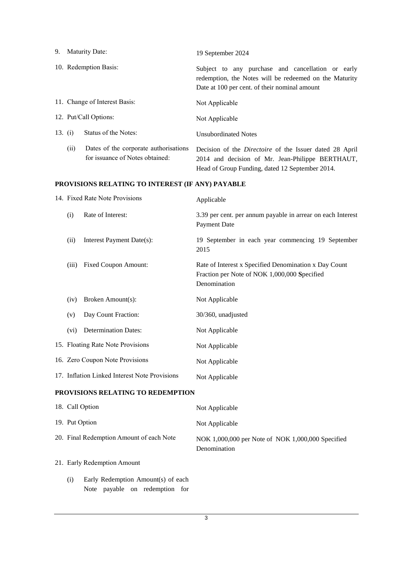|           | 9. Maturity Date:     |                                                                          | 19 September 2024                                                                                                                                                     |  |  |  |  |
|-----------|-----------------------|--------------------------------------------------------------------------|-----------------------------------------------------------------------------------------------------------------------------------------------------------------------|--|--|--|--|
|           | 10. Redemption Basis: |                                                                          | Subject to any purchase and cancellation or early<br>redemption, the Notes will be redeemed on the Maturity<br>Date at 100 per cent. of their nominal amount          |  |  |  |  |
|           |                       | 11. Change of Interest Basis:                                            | Not Applicable                                                                                                                                                        |  |  |  |  |
|           |                       | 12. Put/Call Options:                                                    | Not Applicable                                                                                                                                                        |  |  |  |  |
| 13. $(i)$ |                       | Status of the Notes:                                                     | <b>Unsubordinated Notes</b>                                                                                                                                           |  |  |  |  |
|           | (ii)                  | Dates of the corporate authorisations<br>for issuance of Notes obtained: | Decision of the <i>Directoire</i> of the Issuer dated 28 April<br>2014 and decision of Mr. Jean-Philippe BERTHAUT,<br>Head of Group Funding, dated 12 September 2014. |  |  |  |  |
|           |                       | PROVISIONS RELATING TO INTEREST (IF ANY) PAYABLE                         |                                                                                                                                                                       |  |  |  |  |
|           |                       | 14. Fixed Rate Note Provisions                                           | Applicable                                                                                                                                                            |  |  |  |  |
|           | (i)                   | Rate of Interest:                                                        | 3.39 per cent. per annum payable in arrear on each Interest<br>Payment Date                                                                                           |  |  |  |  |
|           | (ii)                  | Interest Payment Date(s):                                                | 19 September in each year commencing 19 September<br>2015                                                                                                             |  |  |  |  |
|           | (iii)                 | Fixed Coupon Amount:                                                     | Rate of Interest x Specified Denomination x Day Count<br>Fraction per Note of NOK 1,000,000 Specified<br>Denomination                                                 |  |  |  |  |

| 16. Zero Coupon Note Provisions | Not Applicable |
|---------------------------------|----------------|
|---------------------------------|----------------|

(iv) Broken Amount(s): Not Applicable

(vi) Determination Dates: Not Applicable

15. Floating Rate Note Provisions Not Applicable

17. Inflation Linked Interest Note Provisions Not Applicable

(v) Day Count Fraction: 30/360, unadjusted

# **PROVISIONS RELATING TO REDEMPTION**

| 18. Call Option                          | Not Applicable                                                    |
|------------------------------------------|-------------------------------------------------------------------|
| 19. Put Option                           | Not Applicable                                                    |
| 20. Final Redemption Amount of each Note | NOK 1,000,000 per Note of NOK 1,000,000 Specified<br>Denomination |
| 21. Early Redemption Amount              |                                                                   |

(i) Early Redemption Amount(s) of each Note payable on redemption for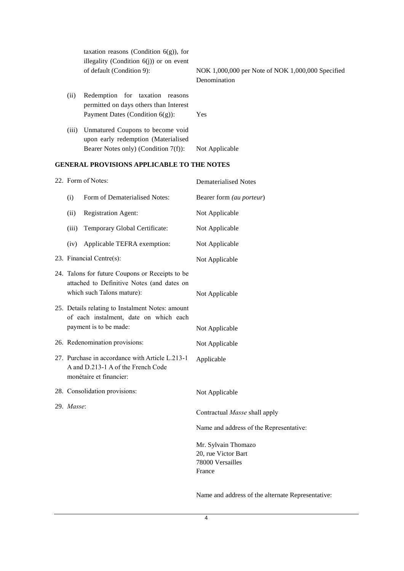|       | taxation reasons (Condition $6(g)$ ), for<br>illegality (Condition $6(j)$ ) or on event                            |                                                                   |
|-------|--------------------------------------------------------------------------------------------------------------------|-------------------------------------------------------------------|
|       | of default (Condition 9):                                                                                          | NOK 1,000,000 per Note of NOK 1,000,000 Specified<br>Denomination |
| (i)   | Redemption for taxation<br>reasons<br>permitted on days others than Interest<br>Payment Dates (Condition $6(g)$ ): | Yes                                                               |
| (iii) | Unmatured Coupons to become void<br>upon early redemption (Materialised<br>Bearer Notes only) (Condition 7(f)):    | Not Applicable                                                    |

## **GENERAL PROVISIONS APPLICABLE TO THE NOTES**

|            | 22. Form of Notes:                                                                                                          | <b>Dematerialised Notes</b>                                              |
|------------|-----------------------------------------------------------------------------------------------------------------------------|--------------------------------------------------------------------------|
| (i)        | Form of Dematerialised Notes:                                                                                               | Bearer form (au porteur)                                                 |
| (ii)       | <b>Registration Agent:</b>                                                                                                  | Not Applicable                                                           |
| (iii)      | Temporary Global Certificate:                                                                                               | Not Applicable                                                           |
| (iv)       | Applicable TEFRA exemption:                                                                                                 | Not Applicable                                                           |
|            | 23. Financial Centre(s):                                                                                                    | Not Applicable                                                           |
|            | 24. Talons for future Coupons or Receipts to be<br>attached to Definitive Notes (and dates on<br>which such Talons mature): | Not Applicable                                                           |
|            | 25. Details relating to Instalment Notes: amount<br>of each instalment, date on which each<br>payment is to be made:        | Not Applicable                                                           |
|            | 26. Redenomination provisions:                                                                                              | Not Applicable                                                           |
|            | 27. Purchase in accordance with Article L.213-1<br>A and D.213-1 A of the French Code<br>monétaire et financier:            | Applicable                                                               |
|            | 28. Consolidation provisions:                                                                                               | Not Applicable                                                           |
| 29. Masse: |                                                                                                                             | Contractual Masse shall apply<br>Name and address of the Representative: |
|            |                                                                                                                             | Mr. Sylvain Thomazo<br>20, rue Victor Bart<br>78000 Versailles<br>France |

Name and address of the alternate Representative: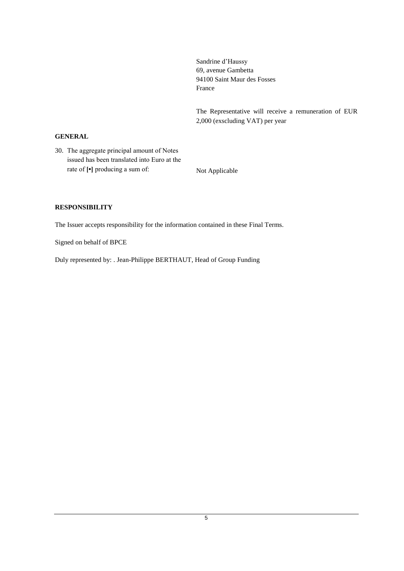Sandrine d'Haussy 69, avenue Gambetta 94100 Saint Maur des Fosses France

The Representative will receive a remuneration of EUR 2,000 (exscluding VAT) per year

## **GENERAL**

30. The aggregate principal amount of Notes issued has been translated into Euro at the rate of  $\lbrack \cdot \rbrack$  producing a sum of: Not Applicable

## **RESPONSIBILITY**

The Issuer accepts responsibility for the information contained in these Final Terms.

Signed on behalf of BPCE

Duly represented by: . Jean-Philippe BERTHAUT, Head of Group Funding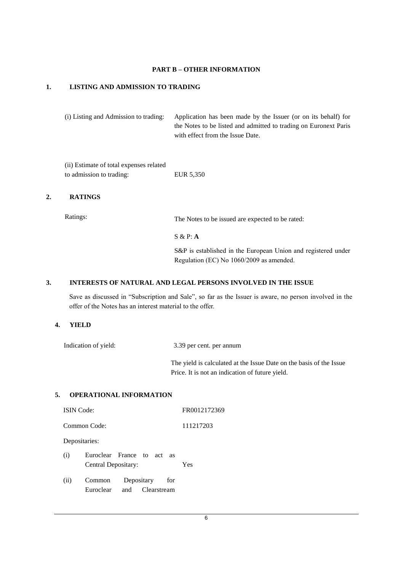#### **PART B – OTHER INFORMATION**

#### **1. LISTING AND ADMISSION TO TRADING**

(i) Listing and Admission to trading: Application has been made by the Issuer (or on its behalf) for the Notes to be listed and admitted to trading on Euronext Paris with effect from the Issue Date.

(ii) Estimate of total expenses related to admission to trading: EUR 5,350

#### **2. RATINGS**

Ratings: The Notes to be issued are expected to be rated:

S & P: **A**

S&P is established in the European Union and registered under Regulation (EC) No 1060/2009 as amended.

#### **3. INTERESTS OF NATURAL AND LEGAL PERSONS INVOLVED IN THE ISSUE**

Save as discussed in "Subscription and Sale", so far as the Issuer is aware, no person involved in the offer of the Notes has an interest material to the offer.

#### **4. YIELD**

Indication of yield: 3.39 per cent. per annum

The yield is calculated at the Issue Date on the basis of the Issue Price. It is not an indication of future yield.

#### **5. OPERATIONAL INFORMATION**

|      | <b>ISIN</b> Code:                                 |                               |     | FR0012172369 |
|------|---------------------------------------------------|-------------------------------|-----|--------------|
|      | Common Code:                                      |                               |     | 111217203    |
|      | Depositaries:                                     |                               |     |              |
| (i)  | Euroclear France to act as<br>Central Depositary: |                               |     | Yes          |
| (ii) | Common<br>Euroclear                               | Depositary<br>and Clearstream | for |              |